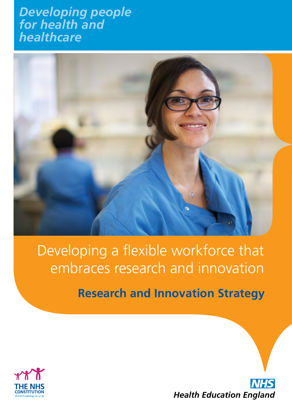### *Developing people for health and healthcare*



## Developing a flexible workforce that embraces research and innovation

**Research and Innovation Strategy**



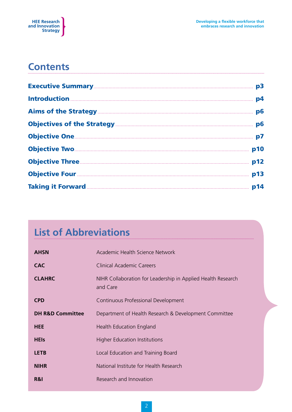

### **Contents**

| p3 |
|----|
| p4 |
|    |
|    |
|    |
|    |
|    |
|    |
|    |

### **List of Abbreviations**

| <b>AHSN</b>                 | Academic Health Science Network                                          |
|-----------------------------|--------------------------------------------------------------------------|
| <b>CAC</b>                  | <b>Clinical Academic Careers</b>                                         |
| <b>CLAHRC</b>               | NIHR Collaboration for Leadership in Applied Health Research<br>and Care |
| <b>CPD</b>                  | Continuous Professional Development                                      |
| <b>DH R&amp;D Committee</b> | Department of Health Research & Development Committee                    |
| <b>HEE</b>                  | Health Education England                                                 |
| <b>HEIS</b>                 | <b>Higher Education Institutions</b>                                     |
| <b>LETB</b>                 | Local Education and Training Board                                       |
| <b>NIHR</b>                 | National Institute for Health Research                                   |
| R&I                         | Research and Innovation                                                  |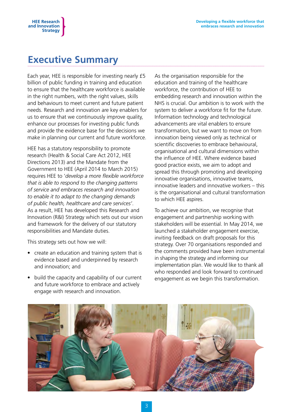### **Executive Summary**

**HEE Research and Innovation Strategy**

Each year, HEE is responsible for investing nearly £5 billion of public funding in training and education to ensure that the healthcare workforce is available in the right numbers, with the right values, skills and behaviours to meet current and future patient needs. Research and innovation are key enablers for us to ensure that we continuously improve quality, enhance our processes for investing public funds and provide the evidence base for the decisions we make in planning our current and future workforce.

HEE has a statutory responsibility to promote research (Health & Social Care Act 2012, HEE Directions 2013) and the Mandate from the Government to HEE (April 2014 to March 2015) requires HEE to '*develop a more flexible workforce that is able to respond to the changing patterns of service and embraces research and innovation to enable it to adapt to the changing demands of public health, healthcare and care services'*. As a result, HEE has developed this Research and Innovation (R&I) Strategy which sets out our vision and framework for the delivery of our statutory responsibilities and Mandate duties.

This strategy sets out how we will:

- create an education and training system that is evidence based and underpinned by research and innovation; and
- build the capacity and capability of our current and future workforce to embrace and actively engage with research and innovation.

As the organisation responsible for the education and training of the healthcare workforce, the contribution of HEE to embedding research and innovation within the NHS is crucial. Our ambition is to work with the system to deliver a workforce fit for the future. Information technology and technological advancements are vital enablers to ensure transformation, but we want to move on from innovation being viewed only as technical or scientific discoveries to embrace behavioural, organisational and cultural dimensions within the influence of HEE. Where evidence based good practice exists, we aim to adopt and spread this through promoting and developing innovative organisations, innovative teams, innovative leaders and innovative workers – this is the organisational and cultural transformation to which HEE aspires.

To achieve our ambition, we recognise that engagement and partnership working with stakeholders will be essential. In May 2014, we launched a stakeholder engagement exercise, inviting feedback on draft proposals for this strategy. Over 70 organisations responded and the comments provided have been instrumental in shaping the strategy and informing our implementation plan. We would like to thank all who responded and look forward to continued engagement as we begin this transformation.

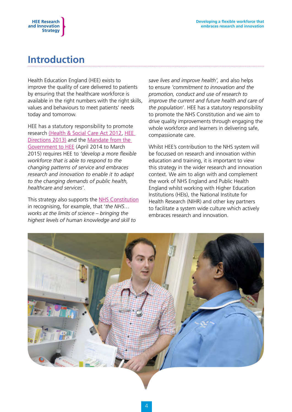

### **Introduction**

Health Education England (HEE) exists to improve the quality of care delivered to patients by ensuring that the healthcare workforce is available in the right numbers with the right skills, values and behaviours to meet patients' needs today and tomorrow.

HEE has a statutory responsibility to promote research [\(Health & Social Care Act 2012](http://www.legislation.gov.uk/ukpga/2012/7/contents/enacted), [HEE](https://www.gov.uk/government/publications/health-education-england-directions-2013)  [Directions 2013\)](https://www.gov.uk/government/publications/health-education-england-directions-2013) and the [Mandate from the](https://www.gov.uk/government/publications/health-education-england-mandate-april-2014-to-march-2015)  [Government to HEE](https://www.gov.uk/government/publications/health-education-england-mandate-april-2014-to-march-2015) (April 2014 to March 2015) requires HEE to *'develop a more flexible workforce that is able to respond to the changing patterns of service and embraces research and innovation to enable it to adapt to the changing demands of public health, healthcare and services'*.

This strategy also supports the [NHS Constitution](https://www.gov.uk/government/publications/the-nhs-constitution-for-england) in recognising, for example, that '*the NHS… works at the limits of science – bringing the highest levels of human knowledge and skill to* 

*save lives and improve health',* and also helps to ensure *'commitment to innovation and the promotion, conduct and use of research to improve the current and future health and care of the population*'. HEE has a statutory responsibility to promote the NHS Constitution and we aim to drive quality improvements through engaging the whole workforce and learners in delivering safe, compassionate care.

Whilst HEE's contribution to the NHS system will be focussed on research and innovation within education and training, it is important to view this strategy in the wider research and innovation context. We aim to align with and complement the work of NHS England and Public Health England whilst working with Higher Education Institutions (HEIs), the National Institute for Health Research (NIHR) and other key partners to facilitate a system wide culture which actively embraces research and innovation.

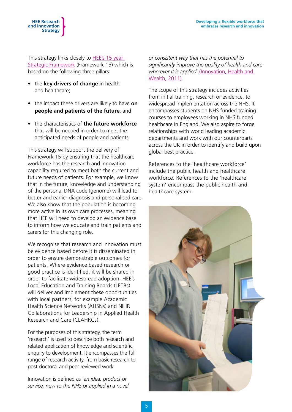This strategy links closely to HEE's 15 year [Strategic Framework](http://hee.nhs.uk/2014/06/03/framework-15-health-education-england-strategic-framework-2014-29/) (Framework 15) which is based on the following three pillars:

• the **key drivers of change** in health and healthcare;

**HEE Research and Innovation Strategy**

- the impact these drivers are likely to have **on people and patients of the future**; and
- • the characteristics of **the future workforce** that will be needed in order to meet the anticipated needs of people and patients.

This strategy will support the delivery of Framework 15 by ensuring that the healthcare workforce has the research and innovation capability required to meet both the current and future needs of patients. For example, we know that in the future, knowledge and understanding of the personal DNA code (genome) will lead to better and earlier diagnosis and personalised care. We also know that the population is becoming more active in its own care processes, meaning that HEE will need to develop an evidence base to inform how we educate and train patients and carers for this changing role.

We recognise that research and innovation must be evidence based before it is disseminated in order to ensure demonstrable outcomes for patients. Where evidence based research or good practice is identified, it will be shared in order to facilitate widespread adoption. HEE's Local Education and Training Boards (LETBs) will deliver and implement these opportunities with local partners, for example Academic Health Science Networks (AHSNs) and NIHR Collaborations for Leadership in Applied Health Research and Care (CLAHRCs).

For the purposes of this strategy, the term 'research' is used to describe both research and related application of knowledge and scientific enquiry to development. It encompasses the full range of research activity, from basic research to post-doctoral and peer reviewed work.

Innovation is defined as '*an idea, product or service, new to the NHS or applied in a novel* 

*or consistent way that has the potential to significantly improve the quality of health and care wherever it is applied*' [\(Innovation, Health and](http://www.england.nhs.uk/wp-content/uploads/2014/02/adopt-diff.pdf)  [Wealth, 2011\)](http://www.england.nhs.uk/wp-content/uploads/2014/02/adopt-diff.pdf).

The scope of this strategy includes activities from initial training, research or evidence, to widespread implementation across the NHS. It encompasses students on NHS funded training courses to employees working in NHS funded healthcare in England. We also aspire to forge relationships with world leading academic departments and work with our counterparts across the UK in order to identify and build upon global best practice.

References to the 'healthcare workforce' include the public health and healthcare workforce. References to the 'healthcare system' encompass the public health and healthcare system.

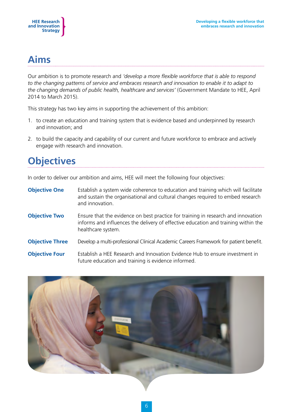

### **Aims**

Our ambition is to promote research and *'develop a more flexible workforce that is able to respond to the changing patterns of service and embraces research and innovation to enable it to adapt to the changing demands of public health, healthcare and services'* (Government Mandate to HEE, April 2014 to March 2015).

This strategy has two key aims in supporting the achievement of this ambition:

- 1. to create an education and training system that is evidence based and underpinned by research and innovation; and
- 2. to build the capacity and capability of our current and future workforce to embrace and actively engage with research and innovation.

### **Objectives**

In order to deliver our ambition and aims, HEE will meet the following four objectives:

- **Objective One** Establish a system wide coherence to education and training which will facilitate and sustain the organisational and cultural changes required to embed research and innovation.
- **Objective Two** Ensure that the evidence on best practice for training in research and innovation informs and influences the delivery of effective education and training within the healthcare system.

**Objective Three** Develop a multi-professional Clinical Academic Careers Framework for patient benefit.

**Objective Four** Establish a HEE Research and Innovation Evidence Hub to ensure investment in future education and training is evidence informed.

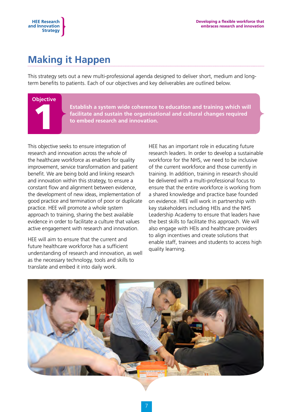### **Making it Happen**

This strategy sets out a new multi-professional agenda designed to deliver short, medium and longterm benefits to patients. Each of our objectives and key deliverables are outlined below.

# **Objective** 1

**HEE Research and Innovation Strategy**

> **Establish a system wide coherence to education and training which will facilitate and sustain the organisational and cultural changes required to embed research and innovation.**

This objective seeks to ensure integration of research and innovation across the whole of the healthcare workforce as enablers for quality improvement, service transformation and patient benefit. We are being bold and linking research and innovation within this strategy, to ensure a constant flow and alignment between evidence, the development of new ideas, implementation of good practice and termination of poor or duplicate practice. HEE will promote a whole system approach to training, sharing the best available evidence in order to facilitate a culture that values active engagement with research and innovation.

HEE will aim to ensure that the current and future healthcare workforce has a sufficient understanding of research and innovation, as well as the necessary technology, tools and skills to translate and embed it into daily work.

HEE has an important role in educating future research leaders. In order to develop a sustainable workforce for the NHS, we need to be inclusive of the current workforce and those currently in training. In addition, training in research should be delivered with a multi-professional focus to ensure that the entire workforce is working from a shared knowledge and practice base founded on evidence. HEE will work in partnership with key stakeholders including HEIs and the NHS Leadership Academy to ensure that leaders have the best skills to facilitate this approach. We will also engage with HEIs and healthcare providers to align incentives and create solutions that enable staff, trainees and students to access high quality learning.

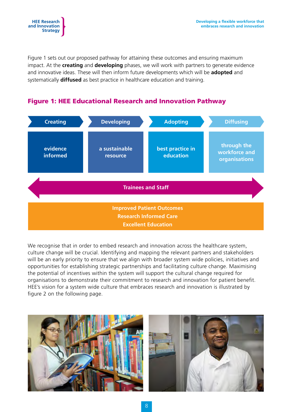

Figure 1 sets out our proposed pathway for attaining these outcomes and ensuring maximum impact. At the **creating** and **developing** phases, we will work with partners to generate evidence and innovative ideas. These will then inform future developments which will be **adopted** and systematically **diffused** as best practice in healthcare education and training.



#### Figure 1: HEE Educational Research and Innovation Pathway

We recognise that in order to embed research and innovation across the healthcare system, culture change will be crucial. Identifying and mapping the relevant partners and stakeholders will be an early priority to ensure that we align with broader system wide policies, initiatives and opportunities for establishing strategic partnerships and facilitating culture change. Maximising the potential of incentives within the system will support the cultural change required for organisations to demonstrate their commitment to research and innovation for patient benefit. HEE's vision for a system wide culture that embraces research and innovation is illustrated by figure 2 on the following page.



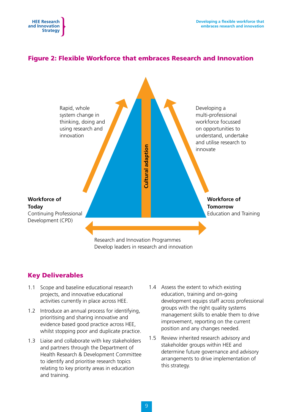



Research and Innovation Programmes Develop leaders in research and innovation

#### Key Deliverables

**HEE Research and Innovation Strategy**

- 1.1 Scope and baseline educational research projects, and innovative educational activities currently in place across HEE.
- 1.2 Introduce an annual process for identifying, prioritising and sharing innovative and evidence based good practice across HEE, whilst stopping poor and duplicate practice.
- 1.3 Liaise and collaborate with key stakeholders and partners through the Department of Health Research & Development Committee to identify and prioritise research topics relating to key priority areas in education and training.
- 1.4 Assess the extent to which existing education, training and on-going development equips staff across professional groups with the right quality systems management skills to enable them to drive improvement, reporting on the current position and any changes needed.
- 1.5 Review inherited research advisory and stakeholder groups within HEE and determine future governance and advisory arrangements to drive implementation of this strategy.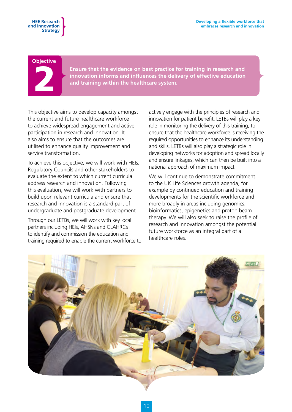#### **Objective**

2

**Ensure that the evidence on best practice for training in research and innovation informs and influences the delivery of effective education and training within the healthcare system.** 

This objective aims to develop capacity amongst the current and future healthcare workforce to achieve widespread engagement and active participation in research and innovation. It also aims to ensure that the outcomes are utilised to enhance quality improvement and service transformation.

To achieve this objective, we will work with HEIs, Regulatory Councils and other stakeholders to evaluate the extent to which current curricula address research and innovation. Following this evaluation, we will work with partners to build upon relevant curricula and ensure that research and innovation is a standard part of undergraduate and postgraduate development.

Through our LETBs, we will work with key local partners including HEIs, AHSNs and CLAHRCs to identify and commission the education and training required to enable the current workforce to actively engage with the principles of research and innovation for patient benefit. LETBs will play a key role in monitoring the delivery of this training, to ensure that the healthcare workforce is receiving the required opportunities to enhance its understanding and skills. LETBs will also play a strategic role in developing networks for adoption and spread locally and ensure linkages, which can then be built into a national approach of maximum impact.

We will continue to demonstrate commitment to the UK Life Sciences growth agenda, for example by continued education and training developments for the scientific workforce and more broadly in areas including genomics, bioinformatics, epigenetics and proton beam therapy. We will also seek to raise the profile of research and innovation amongst the potential future workforce as an integral part of all healthcare roles.

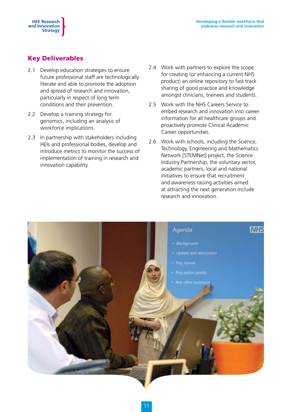#### Key Deliverables

**HEE Research and Innovation Strategy**

- 2.1 Develop education strategies to ensure future professional staff are technologically literate and able to promote the adoption and spread of research and innovation, particularly in respect of long term conditions and their prevention.
- 2.2 Develop a training strategy for genomics, including an analysis of workforce implications.
- 2.3 In partnership with stakeholders including HEIs and professional bodies, develop and introduce metrics to monitor the success of implementation of training in research and innovation capability.
- 2.4 Work with partners to explore the scope for creating (or enhancing a current NHS product) an online repository to fast track sharing of good practice and knowledge amongst clinicians, trainees and students.
- 2.5 Work with the NHS Careers Service to embed research and innovation into career information for all healthcare groups and proactively promote Clinical Academic Career opportunities.
- 2.6 Work with schools, including the Science, Technology, Engineering and Mathematics Network [STEMNet] project, the Science Industry Partnership, the voluntary sector, academic partners, local and national initiatives to ensure that recruitment and awareness raising activities aimed at attracting the next generation include research and innovation.

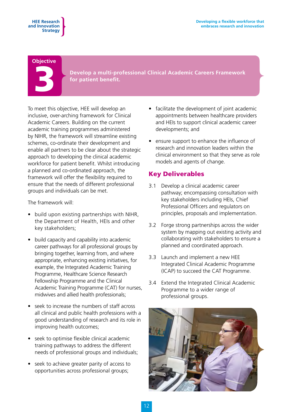#### **Objective**



**Develop a multi-professional Clinical Academic Careers Framework for patient benefit.** 

To meet this objective, HEE will develop an inclusive, over-arching framework for Clinical Academic Careers. Building on the current academic training programmes administered by NIHR, the framework will streamline existing schemes, co-ordinate their development and enable all partners to be clear about the strategic approach to developing the clinical academic workforce for patient benefit. Whilst introducing a planned and co-ordinated approach, the framework will offer the flexibility required to ensure that the needs of different professional groups and individuals can be met.

The framework will:

- build upon existing partnerships with NIHR, the Department of Health, HEIs and other key stakeholders;
- build capacity and capability into academic career pathways for all professional groups by bringing together, learning from, and where appropriate, enhancing existing initiatives, for example, the Integrated Academic Training Programme, Healthcare Science Research Fellowship Programme and the Clinical Academic Training Programme (CAT) for nurses, midwives and allied health professionals;
- seek to increase the numbers of staff across all clinical and public health professions with a good understanding of research and its role in improving health outcomes;
- seek to optimise flexible clinical academic training pathways to address the different needs of professional groups and individuals;
- seek to achieve greater parity of access to opportunities across professional groups;
- facilitate the development of joint academic appointments between healthcare providers and HEIs to support clinical academic career developments; and
- ensure support to enhance the influence of research and innovation leaders within the clinical environment so that they serve as role models and agents of change.

#### Key Deliverables

- 3.1 Develop a clinical academic career pathway; encompassing consultation with key stakeholders including HEIs, Chief Professional Officers and regulators on principles, proposals and implementation.
- 3.2 Forge strong partnerships across the wider system by mapping out existing activity and collaborating with stakeholders to ensure a planned and coordinated approach.
- 3.3 Launch and implement a new HEE Integrated Clinical Academic Programme (ICAP) to succeed the CAT Programme.
- 3.4 Extend the Integrated Clinical Academic Programme to a wider range of professional groups.

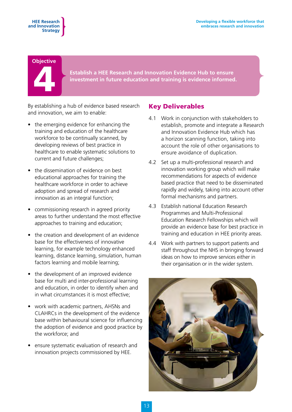#### **Objective**

4

**Establish a HEE Research and Innovation Evidence Hub to ensure investment in future education and training is evidence informed.**

By establishing a hub of evidence based research and innovation, we aim to enable:

- the emerging evidence for enhancing the training and education of the healthcare workforce to be continually scanned, by developing reviews of best practice in healthcare to enable systematic solutions to current and future challenges;
- the dissemination of evidence on best educational approaches for training the healthcare workforce in order to achieve adoption and spread of research and innovation as an integral function;
- commissioning research in agreed priority areas to further understand the most effective approaches to training and education;
- the creation and development of an evidence base for the effectiveness of innovative learning, for example technology enhanced learning, distance learning, simulation, human factors learning and mobile learning;
- the development of an improved evidence base for multi and inter-professional learning and education, in order to identify when and in what circumstances it is most effective;
- work with academic partners, AHSNs and CLAHRCs in the development of the evidence base within behavioural science for influencing the adoption of evidence and good practice by the workforce; and
- ensure systematic evaluation of research and innovation projects commissioned by HEE.

#### Key Deliverables

- 4.1 Work in conjunction with stakeholders to establish, promote and integrate a Research and Innovation Evidence Hub which has a horizon scanning function, taking into account the role of other organisations to ensure avoidance of duplication.
- 4.2 Set up a multi-professional research and innovation working group which will make recommendations for aspects of evidence based practice that need to be disseminated rapidly and widely, taking into account other formal mechanisms and partners.
- 4.3 Establish national Education Research Programmes and Multi-Professional Education Research Fellowships which will provide an evidence base for best practice in training and education in HEE priority areas.
- 4.4 Work with partners to support patients and staff throughout the NHS in bringing forward ideas on how to improve services either in their organisation or in the wider system.

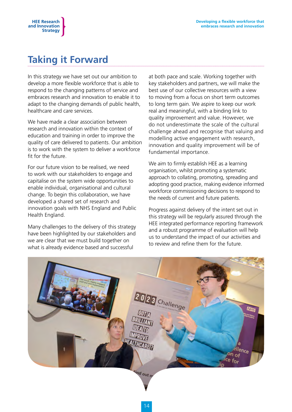### **Taking it Forward**

In this strategy we have set out our ambition to develop a more flexible workforce that is able to respond to the changing patterns of service and embraces research and innovation to enable it to adapt to the changing demands of public health, healthcare and care services.

We have made a clear association between research and innovation within the context of education and training in order to improve the quality of care delivered to patients. Our ambition is to work with the system to deliver a workforce fit for the future.

For our future vision to be realised, we need to work with our stakeholders to engage and capitalise on the system wide opportunities to enable individual, organisational and cultural change. To begin this collaboration, we have developed a shared set of research and innovation goals with NHS England and Public Health England.

Many challenges to the delivery of this strategy have been highlighted by our stakeholders and we are clear that we must build together on what is already evidence based and successful

at both pace and scale. Working together with key stakeholders and partners, we will make the best use of our collective resources with a view to moving from a focus on short term outcomes to long term gain. We aspire to keep our work real and meaningful, with a binding link to quality improvement and value. However, we do not underestimate the scale of the cultural challenge ahead and recognise that valuing and modelling active engagement with research, innovation and quality improvement will be of fundamental importance.

We aim to firmly establish HEE as a learning organisation, whilst promoting a systematic approach to collating, promoting, spreading and adopting good practice, making evidence informed workforce commissioning decisions to respond to the needs of current and future patients.

Progress against delivery of the intent set out in this strategy will be regularly assured through the HEE integrated performance reporting framework and a robust programme of evaluation will help us to understand the impact of our activities and to review and refine them for the future.